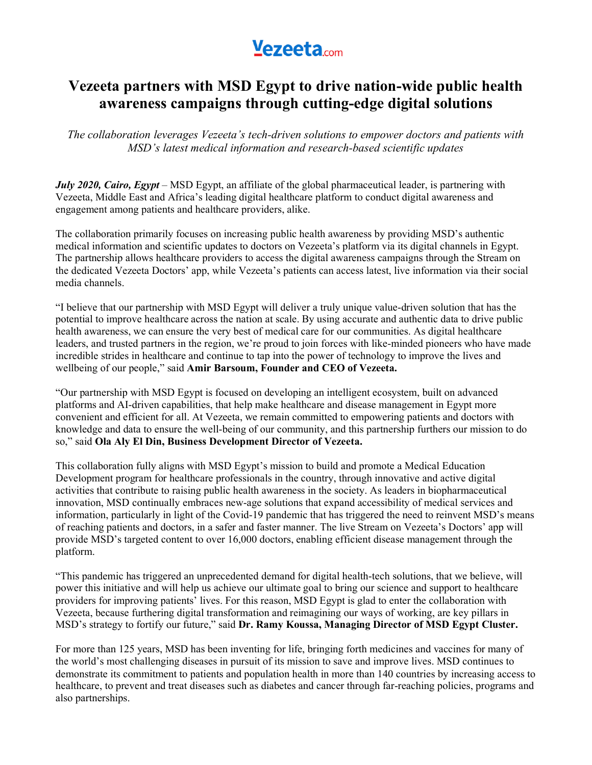# **Yezeeta.com**

### **Vezeeta partners with MSD Egypt to drive nation-wide public health awareness campaigns through cutting-edge digital solutions**

*The collaboration leverages Vezeeta's tech-driven solutions to empower doctors and patients with MSD's latest medical information and research-based scientific updates*

*July 2020, Cairo, Egypt* – MSD Egypt, an affiliate of the global pharmaceutical leader, is partnering with Vezeeta, Middle East and Africa's leading digital healthcare platform to conduct digital awareness and engagement among patients and healthcare providers, alike.

The collaboration primarily focuses on increasing public health awareness by providing MSD's authentic medical information and scientific updates to doctors on Vezeeta's platform via its digital channels in Egypt. The partnership allows healthcare providers to access the digital awareness campaigns through the Stream on the dedicated Vezeeta Doctors' app, while Vezeeta's patients can access latest, live information via their social media channels.

"I believe that our partnership with MSD Egypt will deliver a truly unique value-driven solution that has the potential to improve healthcare across the nation at scale. By using accurate and authentic data to drive public health awareness, we can ensure the very best of medical care for our communities. As digital healthcare leaders, and trusted partners in the region, we're proud to join forces with like-minded pioneers who have made incredible strides in healthcare and continue to tap into the power of technology to improve the lives and wellbeing of our people," said **Amir Barsoum, Founder and CEO of Vezeeta.**

"Our partnership with MSD Egypt is focused on developing an intelligent ecosystem, built on advanced platforms and AI-driven capabilities, that help make healthcare and disease management in Egypt more convenient and efficient for all. At Vezeeta, we remain committed to empowering patients and doctors with knowledge and data to ensure the well-being of our community, and this partnership furthers our mission to do so," said **Ola Aly El Din, Business Development Director of Vezeeta.**

This collaboration fully aligns with MSD Egypt's mission to build and promote a Medical Education Development program for healthcare professionals in the country, through innovative and active digital activities that contribute to raising public health awareness in the society. As leaders in biopharmaceutical innovation, MSD continually embraces new-age solutions that expand accessibility of medical services and information, particularly in light of the Covid-19 pandemic that has triggered the need to reinvent MSD's means of reaching patients and doctors, in a safer and faster manner. The live Stream on Vezeeta's Doctors' app will provide MSD's targeted content to over 16,000 doctors, enabling efficient disease management through the platform.

"This pandemic has triggered an unprecedented demand for digital health-tech solutions, that we believe, will power this initiative and will help us achieve our ultimate goal to bring our science and support to healthcare providers for improving patients' lives. For this reason, MSD Egypt is glad to enter the collaboration with Vezeeta, because furthering digital transformation and reimagining our ways of working, are key pillars in MSD's strategy to fortify our future," said **Dr. Ramy Koussa, Managing Director of MSD Egypt Cluster.**

For more than 125 years, MSD has been inventing for life, bringing forth medicines and vaccines for many of the world's most challenging diseases in pursuit of its mission to save and improve lives. MSD continues to demonstrate its commitment to patients and population health in more than 140 countries by increasing access to healthcare, to prevent and treat diseases such as diabetes and cancer through far-reaching policies, programs and also partnerships.